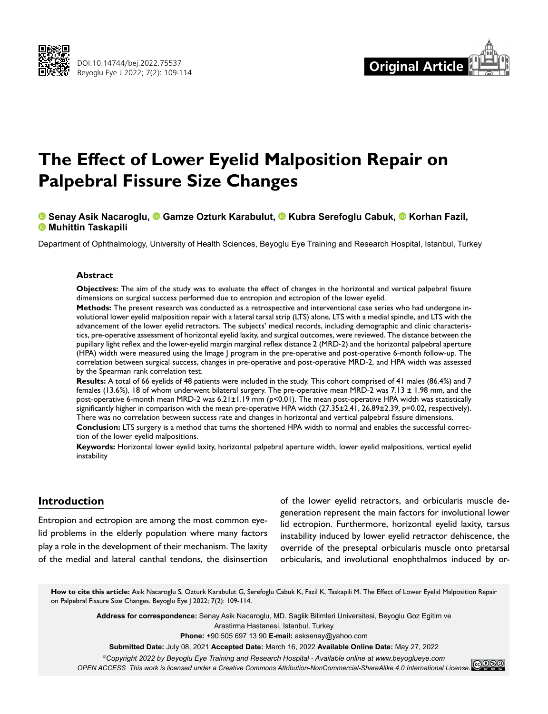



# **The Effect of Lower Eyelid Malposition Repair on Palpebral Fissure Size Changes**

## **Senay Asik Nacaroglu,Gamze Ozturk Karabulut,Kubra Serefoglu Cabuk,Korhan Fazil, Muhittin Taskapili**

Department of Ophthalmology, University of Health Sciences, Beyoglu Eye Training and Research Hospital, Istanbul, Turkey

#### **Abstract**

**Objectives:** The aim of the study was to evaluate the effect of changes in the horizontal and vertical palpebral fissure dimensions on surgical success performed due to entropion and ectropion of the lower eyelid.

**Methods:** The present research was conducted as a retrospective and interventional case series who had undergone involutional lower eyelid malposition repair with a lateral tarsal strip (LTS) alone, LTS with a medial spindle, and LTS with the advancement of the lower eyelid retractors. The subjects' medical records, including demographic and clinic characteristics, pre-operative assessment of horizontal eyelid laxity, and surgical outcomes, were reviewed. The distance between the pupillary light reflex and the lower-eyelid margin marginal reflex distance 2 (MRD-2) and the horizontal palpebral aperture (HPA) width were measured using the Image J program in the pre-operative and post-operative 6-month follow-up. The correlation between surgical success, changes in pre-operative and post-operative MRD-2, and HPA width was assessed by the Spearman rank correlation test.

**Results:** A total of 66 eyelids of 48 patients were included in the study. This cohort comprised of 41 males (86.4%) and 7 females (13.6%), 18 of whom underwent bilateral surgery. The pre-operative mean MRD-2 was 7.13 ± 1.98 mm, and the post-operative 6-month mean MRD-2 was 6.21±1.19 mm (p<0.01). The mean post-operative HPA width was statistically significantly higher in comparison with the mean pre-operative HPA width (27.35±2.41, 26.89±2.39, p=0.02, respectively). There was no correlation between success rate and changes in horizontal and vertical palpebral fissure dimensions.

**Conclusion:** LTS surgery is a method that turns the shortened HPA width to normal and enables the successful correction of the lower eyelid malpositions.

**Keywords:** Horizontal lower eyelid laxity, horizontal palpebral aperture width, lower eyelid malpositions, vertical eyelid instability

### **Introduction**

Entropion and ectropion are among the most common eyelid problems in the elderly population where many factors play a role in the development of their mechanism. The laxity of the medial and lateral canthal tendons, the disinsertion

of the lower eyelid retractors, and orbicularis muscle degeneration represent the main factors for involutional lower lid ectropion. Furthermore, horizontal eyelid laxity, tarsus instability induced by lower eyelid retractor dehiscence, the override of the preseptal orbicularis muscle onto pretarsal orbicularis, and involutional enophthalmos induced by or-

**How to cite this article:** Asik Nacaroglu S, Ozturk Karabulut G, Serefoglu Cabuk K, Fazil K, Taskapili M. The Effect of Lower Eyelid Malposition Repair on Palpebral Fissure Size Changes. Beyoglu Eye J 2022; 7(2): 109-114.

> **Address for correspondence:** Senay Asik Nacaroglu, MD. Saglik Bilimleri Universitesi, Beyoglu Goz Egitim ve Arastirma Hastanesi, Istanbul, Turkey

> > **Phone:** +90 505 697 13 90 **E-mail:** asksenay@yahoo.com

**Submitted Date:** July 08, 2021 **Accepted Date:** March 16, 2022 **Available Online Date:** May 27, 2022

*©Copyright 2022 by Beyoglu Eye Training and Research Hospital - Available online at www.beyoglueye.com*

*OPEN ACCESS This work is licensed under a Creative Commons Attribution-NonCommercial-ShareAlike 4.0 International License.*<br>OPEN ACCESS This work is licensed under a Creative Commons Attribution-NonCommercial-ShareAlike 4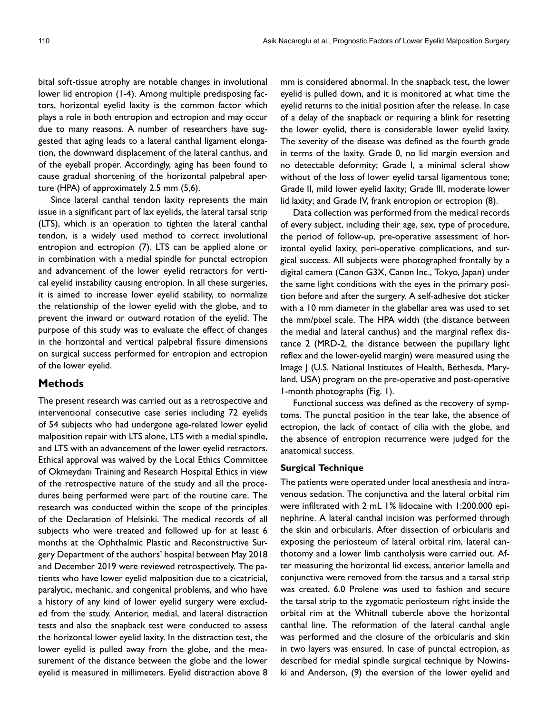bital soft-tissue atrophy are notable changes in involutional lower lid entropion (1-4). Among multiple predisposing factors, horizontal eyelid laxity is the common factor which plays a role in both entropion and ectropion and may occur due to many reasons. A number of researchers have suggested that aging leads to a lateral canthal ligament elongation, the downward displacement of the lateral canthus, and of the eyeball proper. Accordingly, aging has been found to cause gradual shortening of the horizontal palpebral aperture (HPA) of approximately 2.5 mm (5,6).

Since lateral canthal tendon laxity represents the main issue in a significant part of lax eyelids, the lateral tarsal strip (LTS), which is an operation to tighten the lateral canthal tendon, is a widely used method to correct involutional entropion and ectropion (7). LTS can be applied alone or in combination with a medial spindle for punctal ectropion and advancement of the lower eyelid retractors for vertical eyelid instability causing entropion. In all these surgeries, it is aimed to increase lower eyelid stability, to normalize the relationship of the lower eyelid with the globe, and to prevent the inward or outward rotation of the eyelid. The purpose of this study was to evaluate the effect of changes in the horizontal and vertical palpebral fissure dimensions on surgical success performed for entropion and ectropion of the lower eyelid.

## **Methods**

The present research was carried out as a retrospective and interventional consecutive case series including 72 eyelids of 54 subjects who had undergone age-related lower eyelid malposition repair with LTS alone, LTS with a medial spindle, and LTS with an advancement of the lower eyelid retractors. Ethical approval was waived by the Local Ethics Committee of Okmeydanı Training and Research Hospital Ethics in view of the retrospective nature of the study and all the procedures being performed were part of the routine care. The research was conducted within the scope of the principles of the Declaration of Helsinki. The medical records of all subjects who were treated and followed up for at least 6 months at the Ophthalmic Plastic and Reconstructive Surgery Department of the authors' hospital between May 2018 and December 2019 were reviewed retrospectively. The patients who have lower eyelid malposition due to a cicatricial, paralytic, mechanic, and congenital problems, and who have a history of any kind of lower eyelid surgery were excluded from the study. Anterior, medial, and lateral distraction tests and also the snapback test were conducted to assess the horizontal lower eyelid laxity. In the distraction test, the lower eyelid is pulled away from the globe, and the measurement of the distance between the globe and the lower eyelid is measured in millimeters. Eyelid distraction above 8

mm is considered abnormal. In the snapback test, the lower eyelid is pulled down, and it is monitored at what time the eyelid returns to the initial position after the release. In case of a delay of the snapback or requiring a blink for resetting the lower eyelid, there is considerable lower eyelid laxity. The severity of the disease was defined as the fourth grade in terms of the laxity. Grade 0, no lid margin eversion and no detectable deformity; Grade I, a minimal scleral show without of the loss of lower eyelid tarsal ligamentous tone; Grade II, mild lower eyelid laxity; Grade III, moderate lower lid laxity; and Grade IV, frank entropion or ectropion (8).

Data collection was performed from the medical records of every subject, including their age, sex, type of procedure, the period of follow-up, pre-operative assessment of horizontal eyelid laxity, peri-operative complications, and surgical success. All subjects were photographed frontally by a digital camera (Canon G3X, Canon Inc., Tokyo, Japan) under the same light conditions with the eyes in the primary position before and after the surgery. A self-adhesive dot sticker with a 10 mm diameter in the glabellar area was used to set the mm/pixel scale. The HPA width (the distance between the medial and lateral canthus) and the marginal reflex distance 2 (MRD-2, the distance between the pupillary light reflex and the lower-eyelid margin) were measured using the Image J (U.S. National Institutes of Health, Bethesda, Maryland, USA) program on the pre-operative and post-operative 1-month photographs (Fig. 1).

Functional success was defined as the recovery of symptoms. The punctal position in the tear lake, the absence of ectropion, the lack of contact of cilia with the globe, and the absence of entropion recurrence were judged for the anatomical success.

#### **Surgical Technique**

The patients were operated under local anesthesia and intravenous sedation. The conjunctiva and the lateral orbital rim were infiltrated with 2 mL 1% lidocaine with 1:200.000 epinephrine. A lateral canthal incision was performed through the skin and orbicularis. After dissection of orbicularis and exposing the periosteum of lateral orbital rim, lateral canthotomy and a lower limb cantholysis were carried out. After measuring the horizontal lid excess, anterior lamella and conjunctiva were removed from the tarsus and a tarsal strip was created. 6.0 Prolene was used to fashion and secure the tarsal strip to the zygomatic periosteum right inside the orbital rim at the Whitnall tubercle above the horizontal canthal line. The reformation of the lateral canthal angle was performed and the closure of the orbicularis and skin in two layers was ensured. In case of punctal ectropion, as described for medial spindle surgical technique by Nowinski and Anderson, (9) the eversion of the lower eyelid and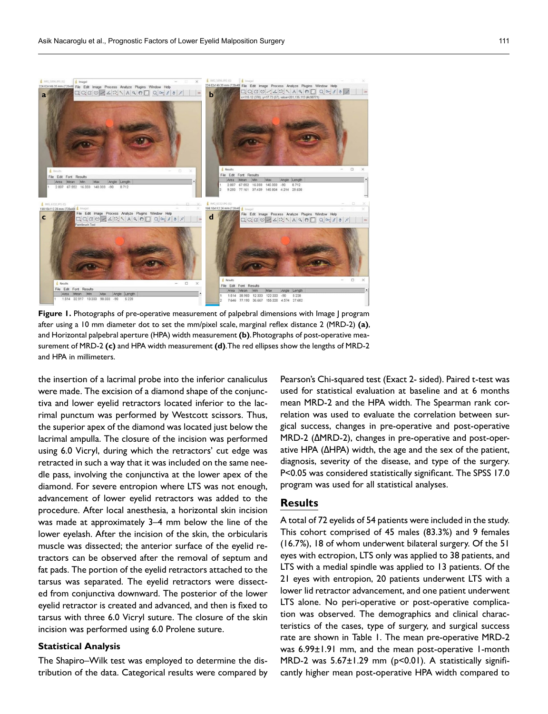

**Figure 1.** Photographs of pre-operative measurement of palpebral dimensions with Image | program after using a 10 mm diameter dot to set the mm/pixel scale, marginal reflex distance 2 (MRD-2) **(a)**, and Horizontal palpebral aperture (HPA) width measurement **(b)**. Photographs of post-operative measurement of MRD-2 **(c)** and HPA width measurement **(d)**. The red ellipses show the lengths of MRD-2 and HPA in millimeters.

the insertion of a lacrimal probe into the inferior canaliculus were made. The excision of a diamond shape of the conjunctiva and lower eyelid retractors located inferior to the lacrimal punctum was performed by Westcott scissors. Thus, the superior apex of the diamond was located just below the lacrimal ampulla. The closure of the incision was performed using 6.0 Vicryl, during which the retractors' cut edge was retracted in such a way that it was included on the same needle pass, involving the conjunctiva at the lower apex of the diamond. For severe entropion where LTS was not enough, advancement of lower eyelid retractors was added to the procedure. After local anesthesia, a horizontal skin incision was made at approximately 3–4 mm below the line of the lower eyelash. After the incision of the skin, the orbicularis muscle was dissected; the anterior surface of the eyelid retractors can be observed after the removal of septum and fat pads. The portion of the eyelid retractors attached to the tarsus was separated. The eyelid retractors were dissected from conjunctiva downward. The posterior of the lower eyelid retractor is created and advanced, and then is fixed to tarsus with three 6.0 Vicryl suture. The closure of the skin incision was performed using 6.0 Prolene suture.

#### **Statistical Analysis**

The Shapiro–Wilk test was employed to determine the distribution of the data. Categorical results were compared by Pearson's Chi-squared test (Exact 2- sided). Paired t-test was used for statistical evaluation at baseline and at 6 months mean MRD-2 and the HPA width. The Spearman rank correlation was used to evaluate the correlation between surgical success, changes in pre-operative and post-operative MRD-2 (ΔMRD-2), changes in pre-operative and post-operative HPA (ΔHPA) width, the age and the sex of the patient, diagnosis, severity of the disease, and type of the surgery. P<0.05 was considered statistically significant. The SPSS 17.0 program was used for all statistical analyses.

# **Results**

A total of 72 eyelids of 54 patients were included in the study. This cohort comprised of 45 males (83.3%) and 9 females (16.7%), 18 of whom underwent bilateral surgery. Of the 51 eyes with ectropion, LTS only was applied to 38 patients, and LTS with a medial spindle was applied to 13 patients. Of the 21 eyes with entropion, 20 patients underwent LTS with a lower lid retractor advancement, and one patient underwent LTS alone. No peri-operative or post-operative complication was observed. The demographics and clinical characteristics of the cases, type of surgery, and surgical success rate are shown in Table 1. The mean pre-operative MRD-2 was 6.99±1.91 mm, and the mean post-operative 1-month MRD-2 was 5.67±1.29 mm (p<0.01). A statistically significantly higher mean post-operative HPA width compared to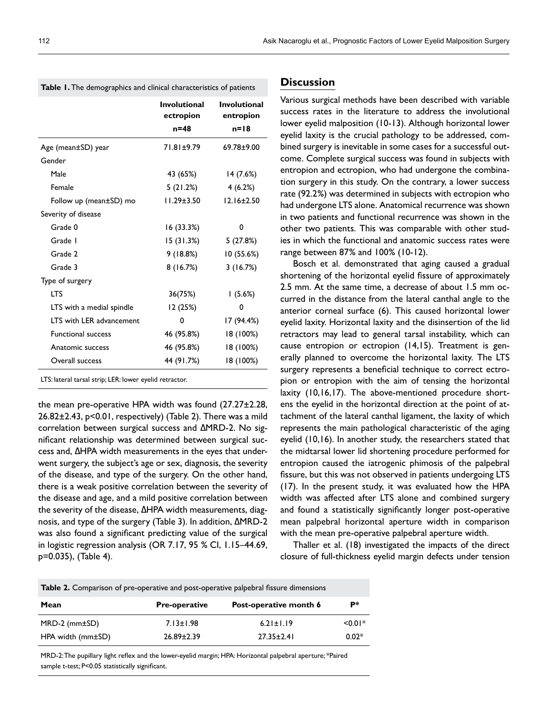|                           | <b>Involutional</b><br>ectropion | <b>Involutional</b><br>entropion |
|---------------------------|----------------------------------|----------------------------------|
|                           | $n = 48$                         | $n=18$                           |
| Age (mean±SD) year        | 71.81±9.79                       | 69.78±9.00                       |
| Gender                    |                                  |                                  |
| Male                      | 43 (65%)                         | 14 (7.6%)                        |
| Female                    | 5 (21.2%)                        | 4(6.2%)                          |
| Follow up (mean±SD) mo    | $11.29 \pm 3.50$                 | $12.16 \pm 2.50$                 |
| Severity of disease       |                                  |                                  |
| Grade 0                   | 16 (33.3%)                       | 0                                |
| Grade I                   | 15(31.3%)                        | 5 (27.8%)                        |
| Grade 2                   | 9 (18.8%)                        | 10 (55.6%)                       |
| Grade 3                   | 8 (16.7%)                        | 3(16.7%)                         |
| Type of surgery           |                                  |                                  |
| <b>LTS</b>                | 36(75%)                          | 1(5.6%)                          |
| LTS with a medial spindle | I2 (25%)                         | 0                                |
| LTS with LER advancement  | 0                                | 17 (94.4%)                       |
| <b>Functional success</b> | 46 (95.8%)                       | 18 (100%)                        |
| Anatomic success          | 46 (95.8%)                       | 18 (100%)                        |
| Overall success           | 44 (91.7%)                       | 18 (100%)                        |

**Table 1.** The demographics and clinical characteristics of patients

LTS: lateral tarsal strip; LER: lower eyelid retractor.

the mean pre-operative HPA width was found (27.27±2.28, 26.82±2.43, p<0.01, respectively) (Table 2). There was a mild correlation between surgical success and ΔMRD-2. No significant relationship was determined between surgical success and, ΔHPA width measurements in the eyes that underwent surgery, the subject's age or sex, diagnosis, the severity of the disease, and type of the surgery. On the other hand, there is a weak positive correlation between the severity of the disease and age, and a mild positive correlation between the severity of the disease, ΔHPA width measurements, diagnosis, and type of the surgery (Table 3). In addition, ΔMRD-2 was also found a significant predicting value of the surgical in logistic regression analysis (OR 7.17, 95 % CI, 1.15–44.69, p=0.035), (Table 4).

## **Discussion**

Various surgical methods have been described with variable success rates in the literature to address the involutional lower eyelid malposition (10-13). Although horizontal lower eyelid laxity is the crucial pathology to be addressed, combined surgery is inevitable in some cases for a successful outcome. Complete surgical success was found in subjects with entropion and ectropion, who had undergone the combination surgery in this study. On the contrary, a lower success rate (92.2%) was determined in subjects with ectropion who had undergone LTS alone. Anatomical recurrence was shown in two patients and functional recurrence was shown in the other two patients. This was comparable with other studies in which the functional and anatomic success rates were range between 87% and 100% (10-12).

Bosch et al. demonstrated that aging caused a gradual shortening of the horizontal eyelid fissure of approximately 2.5 mm. At the same time, a decrease of about 1.5 mm occurred in the distance from the lateral canthal angle to the anterior corneal surface (6). This caused horizontal lower eyelid laxity. Horizontal laxity and the disinsertion of the lid retractors may lead to general tarsal instability, which can cause entropion or ectropion (14,15). Treatment is generally planned to overcome the horizontal laxity. The LTS surgery represents a beneficial technique to correct ectropion or entropion with the aim of tensing the horizontal laxity (10,16,17). The above-mentioned procedure shortens the eyelid in the horizontal direction at the point of attachment of the lateral canthal ligament, the laxity of which represents the main pathological characteristic of the aging eyelid (10,16). In another study, the researchers stated that the midtarsal lower lid shortening procedure performed for entropion caused the iatrogenic phimosis of the palpebral fissure, but this was not observed in patients undergoing LTS (17). In the present study, it was evaluated how the HPA width was affected after LTS alone and combined surgery and found a statistically significantly longer post-operative mean palpebral horizontal aperture width in comparison with the mean pre-operative palpebral aperture width.

Thaller et al. (18) investigated the impacts of the direct closure of full-thickness eyelid margin defects under tension

| Mean                                                                                        | <b>Pre-onerative</b> | Post-onerative month 6 |  |
|---------------------------------------------------------------------------------------------|----------------------|------------------------|--|
| <b>Table 2.</b> Comparison of pre-operative and post-operative palpebral fissure dimensions |                      |                        |  |

| Mean                  | <b>Pre-operative</b> | Post-operative month 6 | Þ*        |
|-----------------------|----------------------|------------------------|-----------|
| $MRD-2$ (mm $\pm$ SD) | $7.13 \pm 1.98$      | $6.21 \pm 1.19$        | $< 0.01*$ |
| HPA width (mm±SD)     | $26.89 \pm 2.39$     | $27.35 \pm 2.41$       | $0.02*$   |

MRD-2: The pupillary light reflex and the lower-eyelid margin; HPA: Horizontal palpebral aperture; \*Paired sample t-test; P<0.05 statistically significant.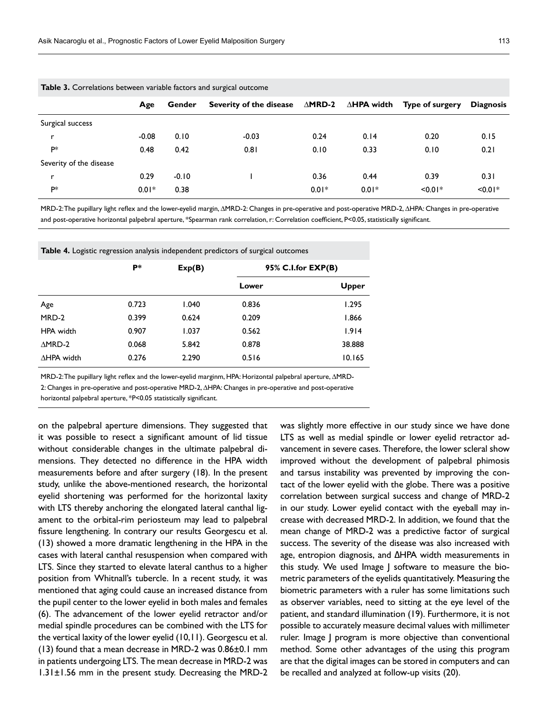|                         | Age     | Gender  | Severity of the disease | $\Delta$ MRD-2 |         | $\triangle$ HPA width Type of surgery | <b>Diagnosis</b> |
|-------------------------|---------|---------|-------------------------|----------------|---------|---------------------------------------|------------------|
| Surgical success        |         |         |                         |                |         |                                       |                  |
| 'n                      | $-0.08$ | 0.10    | $-0.03$                 | 0.24           | 0.14    | 0.20                                  | 0.15             |
| P*                      | 0.48    | 0.42    | 0.81                    | 0.10           | 0.33    | 0.10                                  | 0.21             |
| Severity of the disease |         |         |                         |                |         |                                       |                  |
| 'n                      | 0.29    | $-0.10$ |                         | 0.36           | 0.44    | 0.39                                  | 0.31             |
| P*                      | $0.01*$ | 0.38    |                         | $0.01*$        | $0.01*$ | $< 0.01*$                             | $< 0.01*$        |

**Table 3.** Correlations between variable factors and surgical outcome

MRD-2: The pupillary light reflex and the lower-eyelid margin, ΔMRD-2: Changes in pre-operative and post-operative MRD-2, ΔHPA: Changes in pre-operative and post-operative horizontal palpebral aperture, \*Spearman rank correlation, r: Correlation coefficient, P<0.05, statistically significant.

**Table 4.** Logistic regression analysis independent predictors of surgical outcomes

|                    | P*    | Exp(B) | 95% C.I.for EXP(B) |        |  |
|--------------------|-------|--------|--------------------|--------|--|
|                    |       |        | Lower              | Upper  |  |
| Age                | 0.723 | 1.040  | 0.836              | 1.295  |  |
| MRD-2              | 0.399 | 0.624  | 0.209              | 1.866  |  |
| HPA width          | 0.907 | 1.037  | 0.562              | 1.914  |  |
| $\triangle MRD-2$  | 0.068 | 5.842  | 0.878              | 38.888 |  |
| $\Delta$ HPA width | 0.276 | 2.290  | 0.516              | 10.165 |  |

MRD-2: The pupillary light reflex and the lower-eyelid marginm, HPA: Horizontal palpebral aperture, ΔMRD-

2: Changes in pre-operative and post-operative MRD-2, ΔHPA: Changes in pre-operative and post-operative

horizontal palpebral aperture, \*P<0.05 statistically significant.

on the palpebral aperture dimensions. They suggested that it was possible to resect a significant amount of lid tissue without considerable changes in the ultimate palpebral dimensions. They detected no difference in the HPA width measurements before and after surgery (18). In the present study, unlike the above-mentioned research, the horizontal eyelid shortening was performed for the horizontal laxity with LTS thereby anchoring the elongated lateral canthal ligament to the orbital-rim periosteum may lead to palpebral fissure lengthening. In contrary our results Georgescu et al. (13) showed a more dramatic lengthening in the HPA in the cases with lateral canthal resuspension when compared with LTS. Since they started to elevate lateral canthus to a higher position from Whitnall's tubercle. In a recent study, it was mentioned that aging could cause an increased distance from the pupil center to the lower eyelid in both males and females (6). The advancement of the lower eyelid retractor and/or medial spindle procedures can be combined with the LTS for the vertical laxity of the lower eyelid (10,11). Georgescu et al. (13) found that a mean decrease in MRD-2 was 0.86±0.1 mm in patients undergoing LTS. The mean decrease in MRD-2 was 1.31±1.56 mm in the present study. Decreasing the MRD-2 was slightly more effective in our study since we have done LTS as well as medial spindle or lower eyelid retractor advancement in severe cases. Therefore, the lower scleral show improved without the development of palpebral phimosis and tarsus instability was prevented by improving the contact of the lower eyelid with the globe. There was a positive correlation between surgical success and change of MRD-2 in our study. Lower eyelid contact with the eyeball may increase with decreased MRD-2. In addition, we found that the mean change of MRD-2 was a predictive factor of surgical success. The severity of the disease was also increased with age, entropion diagnosis, and ΔHPA width measurements in this study. We used Image J software to measure the biometric parameters of the eyelids quantitatively. Measuring the biometric parameters with a ruler has some limitations such as observer variables, need to sitting at the eye level of the patient, and standard illumination (19). Furthermore, it is not possible to accurately measure decimal values with millimeter ruler. Image J program is more objective than conventional method. Some other advantages of the using this program are that the digital images can be stored in computers and can be recalled and analyzed at follow-up visits (20).